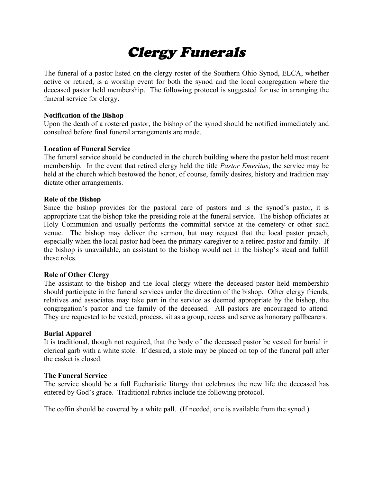# Clergy Funerals

The funeral of a pastor listed on the clergy roster of the Southern Ohio Synod, ELCA, whether active or retired, is a worship event for both the synod and the local congregation where the deceased pastor held membership. The following protocol is suggested for use in arranging the funeral service for clergy.

#### **Notification of the Bishop**

Upon the death of a rostered pastor, the bishop of the synod should be notified immediately and consulted before final funeral arrangements are made.

#### **Location of Funeral Service**

The funeral service should be conducted in the church building where the pastor held most recent membership. In the event that retired clergy held the title *Pastor Emeritus*, the service may be held at the church which bestowed the honor, of course, family desires, history and tradition may dictate other arrangements.

#### **Role of the Bishop**

Since the bishop provides for the pastoral care of pastors and is the synod's pastor, it is appropriate that the bishop take the presiding role at the funeral service. The bishop officiates at Holy Communion and usually performs the committal service at the cemetery or other such venue. The bishop may deliver the sermon, but may request that the local pastor preach, especially when the local pastor had been the primary caregiver to a retired pastor and family. If the bishop is unavailable, an assistant to the bishop would act in the bishop's stead and fulfill these roles.

#### **Role of Other Clergy**

The assistant to the bishop and the local clergy where the deceased pastor held membership should participate in the funeral services under the direction of the bishop. Other clergy friends, relatives and associates may take part in the service as deemed appropriate by the bishop, the congregation's pastor and the family of the deceased. All pastors are encouraged to attend. They are requested to be vested, process, sit as a group, recess and serve as honorary pallbearers.

#### **Burial Apparel**

It is traditional, though not required, that the body of the deceased pastor be vested for burial in clerical garb with a white stole. If desired, a stole may be placed on top of the funeral pall after the casket is closed.

#### **The Funeral Service**

The service should be a full Eucharistic liturgy that celebrates the new life the deceased has entered by God's grace. Traditional rubrics include the following protocol.

The coffin should be covered by a white pall. (If needed, one is available from the synod.)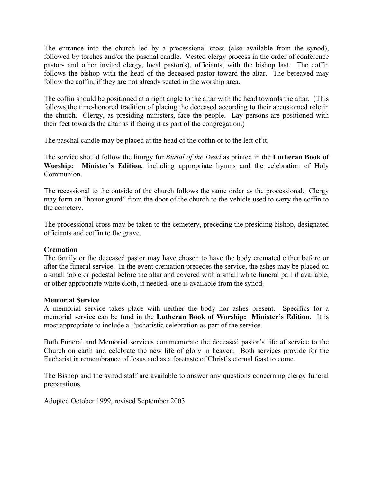The entrance into the church led by a processional cross (also available from the synod), followed by torches and/or the paschal candle. Vested clergy process in the order of conference pastors and other invited clergy, local pastor(s), officiants, with the bishop last. The coffin follows the bishop with the head of the deceased pastor toward the altar. The bereaved may follow the coffin, if they are not already seated in the worship area.

The coffin should be positioned at a right angle to the altar with the head towards the altar. (This follows the time-honored tradition of placing the deceased according to their accustomed role in the church. Clergy, as presiding ministers, face the people. Lay persons are positioned with their feet towards the altar as if facing it as part of the congregation.)

The paschal candle may be placed at the head of the coffin or to the left of it.

The service should follow the liturgy for *Burial of the Dead* as printed in the **Lutheran Book of Worship: Minister's Edition**, including appropriate hymns and the celebration of Holy Communion.

The recessional to the outside of the church follows the same order as the processional. Clergy may form an "honor guard" from the door of the church to the vehicle used to carry the coffin to the cemetery.

The processional cross may be taken to the cemetery, preceding the presiding bishop, designated officiants and coffin to the grave.

#### **Cremation**

The family or the deceased pastor may have chosen to have the body cremated either before or after the funeral service. In the event cremation precedes the service, the ashes may be placed on a small table or pedestal before the altar and covered with a small white funeral pall if available, or other appropriate white cloth, if needed, one is available from the synod.

#### **Memorial Service**

A memorial service takes place with neither the body nor ashes present. Specifics for a memorial service can be fund in the **Lutheran Book of Worship: Minister's Edition**. It is most appropriate to include a Eucharistic celebration as part of the service.

Both Funeral and Memorial services commemorate the deceased pastor's life of service to the Church on earth and celebrate the new life of glory in heaven. Both services provide for the Eucharist in remembrance of Jesus and as a foretaste of Christ's eternal feast to come.

The Bishop and the synod staff are available to answer any questions concerning clergy funeral preparations.

Adopted October 1999, revised September 2003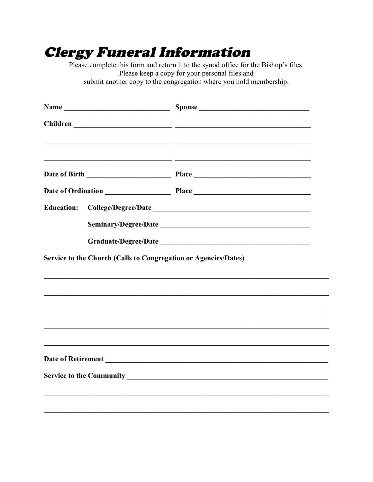## **Clergy Funeral Information**

Please complete this form and return it to the synod office for the Bishop's files. Please keep a copy for your personal files and submit another copy to the congregation where you hold membership.

|                   | <u> 1989 - Andrea Stadt Brandenburg, amerikansk politiker (d. 1989)</u>                                              |
|-------------------|----------------------------------------------------------------------------------------------------------------------|
|                   | <u> 2000 - Andrea San Andrea San Andrea San Andrea San Andrea San Andrea San Andrea San Andrea San Andrea San An</u> |
| <b>Education:</b> |                                                                                                                      |
|                   | Service to the Church (Calls to Congregation or Agencies/Dates)                                                      |
|                   |                                                                                                                      |
|                   | ,我们也不会有什么。""我们的人,我们也不会有什么?""我们的人,我们也不会有什么?""我们的人,我们也不会有什么?""我们的人,我们也不会有什么?""我们的人                                     |
|                   | ,我们也不会有什么。""我们的人,我们也不会有什么?""我们的人,我们也不会有什么?""我们的人,我们也不会有什么?""我们的人,我们也不会有什么?""我们的人                                     |
|                   | ,我们也不会有什么。""我们的人,我们也不会有什么?""我们的人,我们也不会有什么?""我们的人,我们也不会有什么?""我们的人,我们也不会有什么?""我们的人                                     |
|                   |                                                                                                                      |
|                   |                                                                                                                      |
|                   |                                                                                                                      |
|                   |                                                                                                                      |